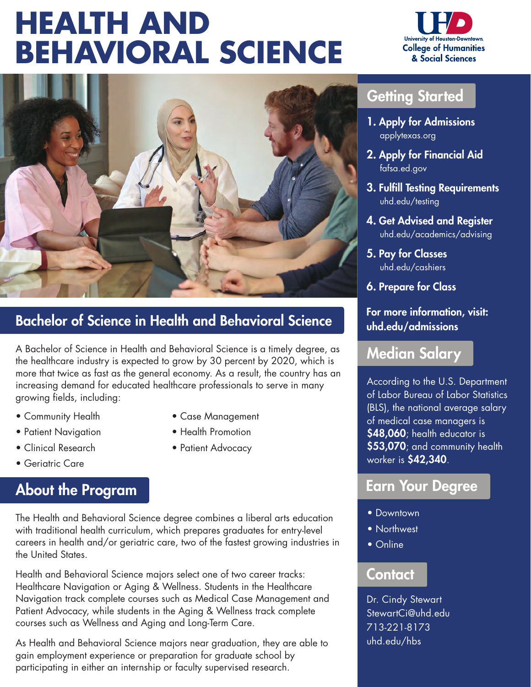# **HEALTH AND BEHAVIORAL SCIENCE**





### Bachelor of Science in Health and Behavioral Science

A Bachelor of Science in Health and Behavioral Science is a timely degree, as the healthcare industry is expected to grow by 30 percent by 2020, which is more that twice as fast as the general economy. As a result, the country has an increasing demand for educated healthcare professionals to serve in many growing fields, including:

- Community Health Case Management
- Patient Navigation Health Promotion
- Clinical Research Patient Advocacy
- Geriatric Care

#### About the Program

The Health and Behavioral Science degree combines a liberal arts education with traditional health curriculum, which prepares graduates for entry-level careers in health and/or geriatric care, two of the fastest growing industries in the United States.

Health and Behavioral Science majors select one of two career tracks: Healthcare Navigation or Aging & Wellness. Students in the Healthcare Navigation track complete courses such as Medical Case Management and Patient Advocacy, while students in the Aging & Wellness track complete courses such as Wellness and Aging and Long-Term Care.

As Health and Behavioral Science majors near graduation, they are able to gain employment experience or preparation for graduate school by participating in either an internship or faculty supervised research.

- 
- 

### Getting Started

- 1. Apply for Admissions applytexas.org
- 2. Apply for Financial Aid fafsa.ed.gov
- 3. Fulfill Testing Requirements uhd.edu/testing
- 4. Get Advised and Register uhd.edu/academics/advising
- 5. Pay for Classes uhd.edu/cashiers
- 6. Prepare for Class

#### For more information, visit: uhd.edu/admissions

#### Median Salary

According to the U.S. Department of Labor Bureau of Labor Statistics (BLS), the national average salary of medical case managers is \$48,060; health educator is \$53,070; and community health worker is \$42,340.

#### Earn Your Degree

- Downtown
- Northwest
- Online

#### **Contact**

Dr. Cindy Stewart StewartCi@uhd.edu 713-221-8173 uhd.edu/hbs